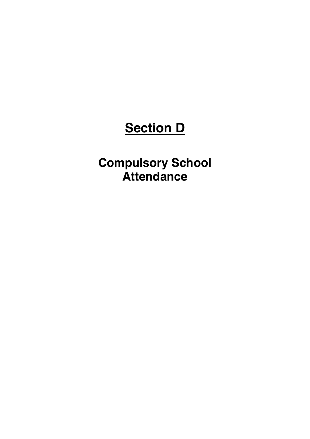# **Section D**

**Compulsory School Attendance**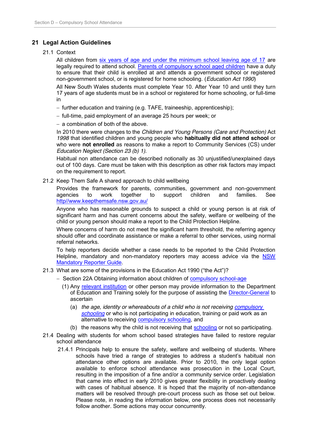### **21 Legal Action Guidelines**

#### 21.1 Context

All children from six years of age and under the minimum school leaving age of 17 are legally required to attend school. Parents of compulsory school aged children have a duty to ensure that their child is enrolled at and attends a government school or registered non-government school, or is registered for home schooling. (*Education Act 1990*)

All New South Wales students must complete Year 10. After Year 10 and until they turn 17 years of age students must be in a school or registered for home schooling, or full-time in

- $-$  further education and training (e.g. TAFE, traineeship, apprenticeship);
- full-time, paid employment of an average 25 hours per week; or
- $-$  a combination of both of the above.

In 2010 there were changes to the *Children and Young Persons (Care and Protection)* Act *1998* that identified children and young people who **habitually did not attend school** or who were **not enrolled** as reasons to make a report to Community Services (CS) under *Education Neglect (Section 23 (b) 1).*

Habitual non attendance can be described notionally as 30 unjustified/unexplained days out of 100 days. Care must be taken with this description as other risk factors may impact on the requirement to report.

21.2 Keep Them Safe A shared approach to child wellbeing

Provides the framework for parents, communities, government and non-government agencies to work together to support children and families. See http//www.keepthemsafe.nsw.gov.au/

Anyone who has reasonable grounds to suspect a child or young person is at risk of significant harm and has current concerns about the safety, welfare or wellbeing of the child or young person should make a report to the Child Protection Helpline.

Where concerns of harm do not meet the significant harm threshold, the referring agency should offer and coordinate assistance or make a referral to other services, using normal referral networks.

To help reporters decide whether a case needs to be reported to the Child Protection Helpline, mandatory and non-mandatory reporters may access advice via the NSW Mandatory Reporter Guide.

- 21.3 What are some of the provisions in the Education Act 1990 ("the Act")?
	- Section 22A Obtaining information about children of **compulsory school-age** 
		- (1) Any relevant institution or other person may provide information to the Department of Education and Training solely for the purpose of assisting the Director-General to ascertain
			- (a) *the age, identity or whereabouts of a child who is not receiving compulsory schooling* or who is not participating in education, training or paid work as an alternative to receiving compulsory schooling, and
			- (b) the reasons why the child is not receiving that schooling or not so participating.
- 21.4 Dealing with students for whom school based strategies have failed to restore regular school attendance
	- 21.4.1 Principals help to ensure the safety, welfare and wellbeing of students. Where schools have tried a range of strategies to address a student's habitual non attendance other options are available. Prior to 2010, the only legal option available to enforce school attendance was prosecution in the Local Court, resulting in the imposition of a fine and/or a community service order. Legislation that came into effect in early 2010 gives greater flexibility in proactively dealing with cases of habitual absence. It is hoped that the majority of non-attendance matters will be resolved through pre-court process such as those set out below. Please note, in reading the information below, one process does not necessarily follow another. Some actions may occur concurrently.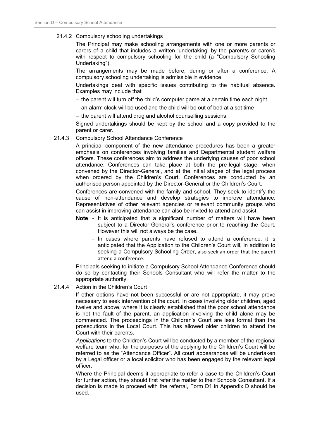#### 21.4.2 Compulsory schooling undertakings

The Principal may make schooling arrangements with one or more parents or carers of a child that includes a written 'undertaking' by the parent/s or carer/s with respect to compulsory schooling for the child (a "Compulsory Schooling Undertaking").

The arrangements may be made before, during or after a conference. A compulsory schooling undertaking is admissible in evidence.

Undertakings deal with specific issues contributing to the habitual absence. Examples may include that

- $-$  the parent will turn off the child's computer game at a certain time each night
- $-$  an alarm clock will be used and the child will be out of bed at a set time
- the parent will attend drug and alcohol counselling sessions.

Signed undertakings should be kept by the school and a copy provided to the parent or carer.

#### 21.4.3 Compulsory School Attendance Conference

A principal component of the new attendance procedures has been a greater emphasis on conferences involving families and Departmental student welfare officers. These conferences aim to address the underlying causes of poor school attendance. Conferences can take place at both the pre-legal stage, when convened by the Director-General, and at the initial stages of the legal process when ordered by the Children's Court. Conferences are conducted by an authorised person appointed by the Director-General or the Children's Court.

Conferences are convened with the family and school. They seek to identify the cause of non-attendance and develop strategies to improve attendance. Representatives of other relevant agencies or relevant community groups who can assist in improving attendance can also be invited to attend and assist.

- **Note** It is anticipated that a significant number of matters will have been subject to a Director-General's conference prior to reaching the Court. However this will not always be the case.
	- In cases where parents have refused to attend a conference, it is anticipated that the Application to the Children's Court will, in addition to seeking a Compulsory Schooling Order, also seek an order that the parent attend a conference.

Principals seeking to initiate a Compulsory School Attendance Conference should do so by contacting their Schools Consultant who will refer the matter to the appropriate authority.

21.4.4 Action in the Children's Court

If other options have not been successful or are not appropriate, it may prove necessary to seek intervention of the court. In cases involving older children, aged twelve and above, where it is clearly established that the poor school attendance is not the fault of the parent, an application involving the child alone may be commenced. The proceedings in the Children's Court are less formal than the prosecutions in the Local Court. This has allowed older children to attend the Court with their parents.

*Applications* to the Children's Court will be conducted by a member of the regional welfare team who, for the purposes of the applying to the Children's Court will be referred to as the "Attendance Officer". All court appearances will be undertaken by a Legal officer or a local solicitor who has been engaged by the relevant legal officer.

Where the Principal deems it appropriate to refer a case to the Children's Court for further action, they should first refer the matter to their Schools Consultant. If a decision is made to proceed with the referral, Form D1 in Appendix D should be used.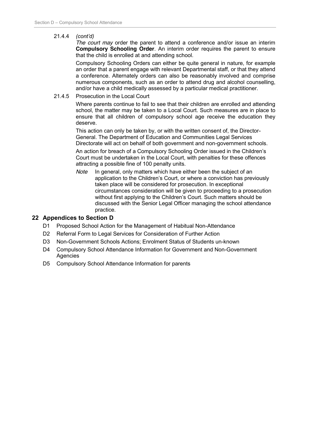#### 21.4.4 *(cont'd)*

*The court may* order the parent to attend a conference and/or issue an interim **Compulsory Schooling Order**. An interim order requires the parent to ensure that the child is enrolled at and attending school.

Compulsory Schooling Orders can either be quite general in nature, for example an order that a parent engage with relevant Departmental staff, or that they attend a conference. Alternately orders can also be reasonably involved and comprise numerous components, such as an order to attend drug and alcohol counselling, and/or have a child medically assessed by a particular medical practitioner.

#### 21.4.5 Prosecution in the Local Court

Where parents continue to fail to see that their children are enrolled and attending school, the matter may be taken to a Local Court. Such measures are in place to ensure that all children of compulsory school age receive the education they deserve.

This action can only be taken by, or with the written consent of, the Director-General. The Department of Education and Communities Legal Services Directorate will act on behalf of both government and non-government schools.

An action for breach of a Compulsory Schooling Order issued in the Children's Court must be undertaken in the Local Court, with penalties for these offences attracting a possible fine of 100 penalty units.

*Note* In general, only matters which have either been the subject of an application to the Children's Court, or where a conviction has previously taken place will be considered for prosecution. In exceptional circumstances consideration will be given to proceeding to a prosecution without first applying to the Children's Court. Such matters should be discussed with the Senior Legal Officer managing the school attendance practice.

#### **22 Appendices to Section D**

- D1 Proposed School Action for the Management of Habitual Non-Attendance
- D2 Referral Form to Legal Services for Consideration of Further Action
- D3 Non-Government Schools Actions; Enrolment Status of Students un-known
- D4 Compulsory School Attendance Information for Government and Non-Government **Agencies**
- D5 Compulsory School Attendance Information for parents